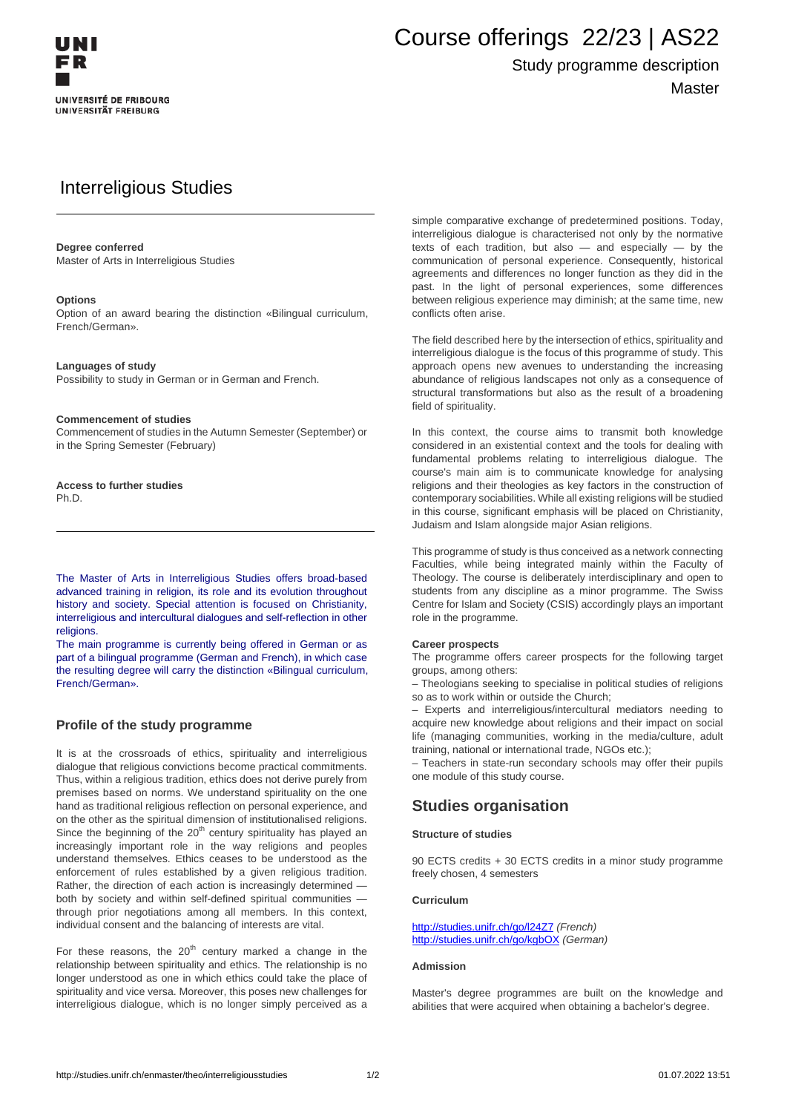

# Course offerings 22/23 | AS22

## Study programme description **Master**

# Interreligious Studies

#### **Degree conferred**

Master of Arts in Interreligious Studies

#### **Options**

Option of an award bearing the distinction «Bilingual curriculum, French/German».

#### **Languages of study**

Possibility to study in German or in German and French.

#### **Commencement of studies**

Commencement of studies in the Autumn Semester (September) or in the Spring Semester (February)

**Access to further studies** Ph.D.

The Master of Arts in Interreligious Studies offers broad-based advanced training in religion, its role and its evolution throughout history and society. Special attention is focused on Christianity, interreligious and intercultural dialogues and self-reflection in other religions.

The main programme is currently being offered in German or as part of a bilingual programme (German and French), in which case the resulting degree will carry the distinction «Bilingual curriculum, French/German».

#### **Profile of the study programme**

It is at the crossroads of ethics, spirituality and interreligious dialogue that religious convictions become practical commitments. Thus, within a religious tradition, ethics does not derive purely from premises based on norms. We understand spirituality on the one hand as traditional religious reflection on personal experience, and on the other as the spiritual dimension of institutionalised religions. Since the beginning of the  $20<sup>th</sup>$  century spirituality has played an increasingly important role in the way religions and peoples understand themselves. Ethics ceases to be understood as the enforcement of rules established by a given religious tradition. Rather, the direction of each action is increasingly determined both by society and within self-defined spiritual communities through prior negotiations among all members. In this context, individual consent and the balancing of interests are vital.

For these reasons, the  $20<sup>th</sup>$  century marked a change in the relationship between spirituality and ethics. The relationship is no longer understood as one in which ethics could take the place of spirituality and vice versa. Moreover, this poses new challenges for interreligious dialogue, which is no longer simply perceived as a

simple comparative exchange of predetermined positions. Today, interreligious dialogue is characterised not only by the normative texts of each tradition, but also  $-$  and especially  $-$  by the communication of personal experience. Consequently, historical agreements and differences no longer function as they did in the past. In the light of personal experiences, some differences between religious experience may diminish; at the same time, new conflicts often arise.

The field described here by the intersection of ethics, spirituality and interreligious dialogue is the focus of this programme of study. This approach opens new avenues to understanding the increasing abundance of religious landscapes not only as a consequence of structural transformations but also as the result of a broadening field of spirituality.

In this context, the course aims to transmit both knowledge considered in an existential context and the tools for dealing with fundamental problems relating to interreligious dialogue. The course's main aim is to communicate knowledge for analysing religions and their theologies as key factors in the construction of contemporary sociabilities. While all existing religions will be studied in this course, significant emphasis will be placed on Christianity, Judaism and Islam alongside major Asian religions.

This programme of study is thus conceived as a network connecting Faculties, while being integrated mainly within the Faculty of Theology. The course is deliberately interdisciplinary and open to students from any discipline as a minor programme. The Swiss Centre for Islam and Society (CSIS) accordingly plays an important role in the programme.

#### **Career prospects**

The programme offers career prospects for the following target groups, among others:

– Theologians seeking to specialise in political studies of religions so as to work within or outside the Church;

– Experts and interreligious/intercultural mediators needing to acquire new knowledge about religions and their impact on social life (managing communities, working in the media/culture, adult training, national or international trade, NGOs etc.);

– Teachers in state-run secondary schools may offer their pupils one module of this study course.

### **Studies organisation**

#### **Structure of studies**

90 ECTS credits + 30 ECTS credits in a minor study programme freely chosen, 4 semesters

#### **Curriculum**

<http://studies.unifr.ch/go/l24Z7> (French) http://studies.unifr.ch/go/kgbOX (German)

#### **Admission**

Master's degree programmes are built on the knowledge and abilities that were acquired when obtaining a bachelor's degree.